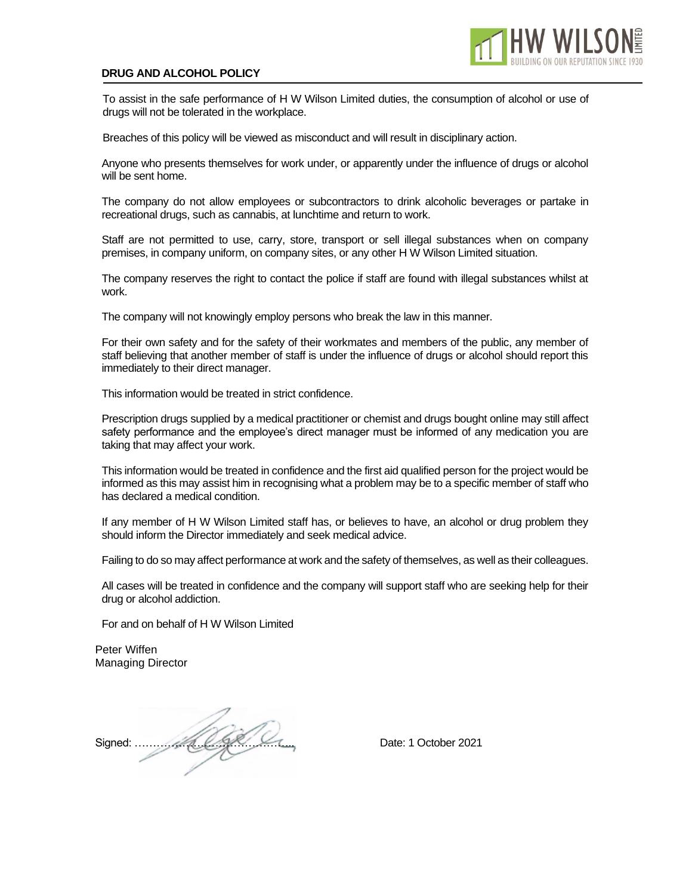## **DRUG AND ALCOHOL POLICY**

To assist in the safe performance of H W Wilson Limited duties, the consumption of alcohol or use of drugs will not be tolerated in the workplace.

Breaches of this policy will be viewed as misconduct and will result in disciplinary action.

Anyone who presents themselves for work under, or apparently under the influence of drugs or alcohol will be sent home.

The company do not allow employees or subcontractors to drink alcoholic beverages or partake in recreational drugs, such as cannabis, at lunchtime and return to work.

Staff are not permitted to use, carry, store, transport or sell illegal substances when on company premises, in company uniform, on company sites, or any other H W Wilson Limited situation.

The company reserves the right to contact the police if staff are found with illegal substances whilst at work.

The company will not knowingly employ persons who break the law in this manner.

For their own safety and for the safety of their workmates and members of the public, any member of staff believing that another member of staff is under the influence of drugs or alcohol should report this immediately to their direct manager.

This information would be treated in strict confidence.

Prescription drugs supplied by a medical practitioner or chemist and drugs bought online may still affect safety performance and the employee's direct manager must be informed of any medication you are taking that may affect your work.

This information would be treated in confidence and the first aid qualified person for the project would be informed as this may assist him in recognising what a problem may be to a specific member of staff who has declared a medical condition.

If any member of H W Wilson Limited staff has, or believes to have, an alcohol or drug problem they should inform the Director immediately and seek medical advice.

Failing to do so may affect performance at work and the safety of themselves, as well as their colleagues.

All cases will be treated in confidence and the company will support staff who are seeking help for their drug or alcohol addiction.

For and on behalf of H W Wilson Limited

Peter Wiffen Managing Director

Signed: …………………………………….. Date: 1 October 2021